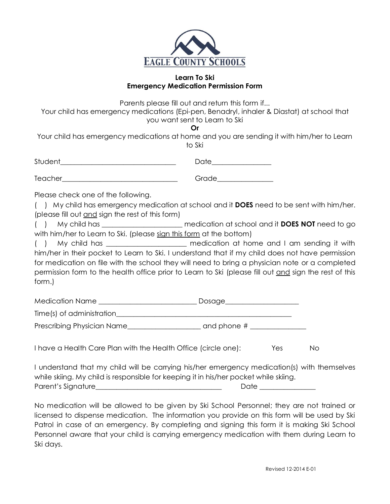

## **Learn To Ski Emergency Medication Permission Form**

Parents please fill out and return this form if...

Your child has emergency medications (Epi-pen, Benadryl, inhaler & Diastat) at school that you want sent to Learn to Ski

**Or**

Your child has emergency medications at home and you are sending it with him/her to Learn to Ski

| Student | $\sim$ $\sim$ $\sim$ |
|---------|----------------------|
|         |                      |

Teacher\_\_\_\_\_\_\_\_\_\_\_\_\_\_\_\_\_\_\_\_\_\_\_\_\_\_\_\_\_\_\_\_\_ Grade\_\_\_\_\_\_\_\_\_\_\_\_\_\_\_\_

Please check one of the following.

( ) My child has emergency medication at school and it **DOES** need to be sent with him/her. (please fill out and sign the rest of this form)

( ) My child has \_\_\_\_\_\_\_\_\_\_\_\_\_\_\_\_\_\_\_\_\_\_\_ medication at school and it **DOES NOT** need to go with him/her to Learn to Ski. (please sign this form at the bottom)

( ) My child has \_\_\_\_\_\_\_\_\_\_\_\_\_\_\_\_\_\_\_\_\_\_\_ medication at home and I am sending it with him/her in their pocket to Learn to Ski. I understand that if my child does not have permission for medication on file with the school they will need to bring a physician note or a completed permission form to the health office prior to Learn to Ski (please fill out and sign the rest of this form.)

| Medication Name            | Dosage        |
|----------------------------|---------------|
| Time(s) of administration  |               |
| Prescribing Physician Name | and phone $#$ |

I have a Health Care Plan with the Health Office (circle one): Yes No

I understand that my child will be carrying his/her emergency medication(s) with themselves while skiing. My child is responsible for keeping it in his/her pocket while skiing. Parent's Signature and the contract of the contract of the contract of the contract of the contract of the con

No medication will be allowed to be given by Ski School Personnel; they are not trained or licensed to dispense medication. The information you provide on this form will be used by Ski Patrol in case of an emergency. By completing and signing this form it is making Ski School Personnel aware that your child is carrying emergency medication with them during Learn to Ski days.